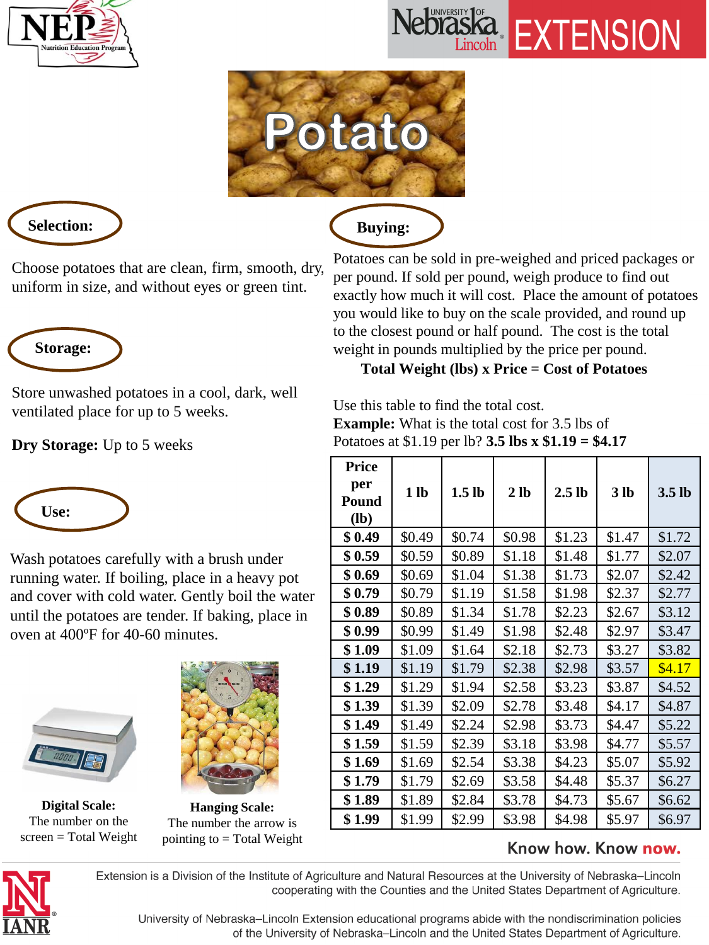





 **Buying:**



Choose potatoes that are clean, firm, smooth, dry, uniform in size, and without eyes or green tint.



Store unwashed potatoes in a cool, dark, well ventilated place for up to 5 weeks.

**Dry Storage:** Up to 5 weeks



Wash potatoes carefully with a brush under running water. If boiling, place in a heavy pot and cover with cold water. Gently boil the water until the potatoes are tender. If baking, place in oven at 400ºF for 40-60 minutes.



**Digital Scale:**  The number on the screen = Total Weight



**Hanging Scale:**  The number the arrow is pointing to  $=$  Total Weight

Potatoes can be sold in pre-weighed and priced packages or per pound. If sold per pound, weigh produce to find out exactly how much it will cost. Place the amount of potatoes you would like to buy on the scale provided, and round up to the closest pound or half pound. The cost is the total weight in pounds multiplied by the price per pound.

### **Total Weight (lbs) x Price = Cost of Potatoes**

Use this table to find the total cost. **Example:** What is the total cost for 3.5 lbs of Potatoes at \$1.19 per lb? **3.5 lbs x \$1.19 = \$4.17**

| <b>Price</b><br>per<br>Pound<br>$(lb)$ | 1 <sub>lb</sub> | 1.5 <sub>lb</sub> | 2 <sub>1b</sub> | 2.5 <sub>lb</sub> | 3 <sub>lb</sub> | 3.5 <sub>lb</sub> |
|----------------------------------------|-----------------|-------------------|-----------------|-------------------|-----------------|-------------------|
| \$0.49                                 | \$0.49          | \$0.74            | \$0.98          | \$1.23            | \$1.47          | \$1.72            |
| \$0.59                                 | \$0.59          | \$0.89            | \$1.18          | \$1.48            | \$1.77          | \$2.07            |
| \$0.69                                 | \$0.69          | \$1.04            | \$1.38          | \$1.73            | \$2.07          | \$2.42            |
| \$0.79                                 | \$0.79          | \$1.19            | \$1.58          | \$1.98            | \$2.37          | \$2.77            |
| \$0.89                                 | \$0.89          | \$1.34            | \$1.78          | \$2.23            | \$2.67          | \$3.12            |
| \$0.99                                 | \$0.99          | \$1.49            | \$1.98          | \$2.48            | \$2.97          | \$3.47            |
| \$1.09                                 | \$1.09          | \$1.64            | \$2.18          | \$2.73            | \$3.27          | \$3.82            |
| \$1.19                                 | \$1.19          | \$1.79            | \$2.38          | \$2.98            | \$3.57          | \$4.17            |
| \$1.29                                 | \$1.29          | \$1.94            | \$2.58          | \$3.23            | \$3.87          | \$4.52            |
| \$1.39                                 | \$1.39          | \$2.09            | \$2.78          | \$3.48            | \$4.17          | \$4.87            |
| \$1.49                                 | \$1.49          | \$2.24            | \$2.98          | \$3.73            | \$4.47          | \$5.22            |
| \$1.59                                 | \$1.59          | \$2.39            | \$3.18          | \$3.98            | \$4.77          | \$5.57            |
| \$1.69                                 | \$1.69          | \$2.54            | \$3.38          | \$4.23            | \$5.07          | \$5.92            |
| \$1.79                                 | \$1.79          | \$2.69            | \$3.58          | \$4.48            | \$5.37          | \$6.27            |
| \$1.89                                 | \$1.89          | \$2.84            | \$3.78          | \$4.73            | \$5.67          | \$6.62            |
| \$1.99                                 | \$1.99          | \$2.99            | \$3.98          | \$4.98            | \$5.97          | \$6.97            |

### Know how. Know now.



Extension is a Division of the Institute of Agriculture and Natural Resources at the University of Nebraska-Lincoln cooperating with the Counties and the United States Department of Agriculture.

University of Nebraska-Lincoln Extension educational programs abide with the nondiscrimination policies of the University of Nebraska-Lincoln and the United States Department of Agriculture.